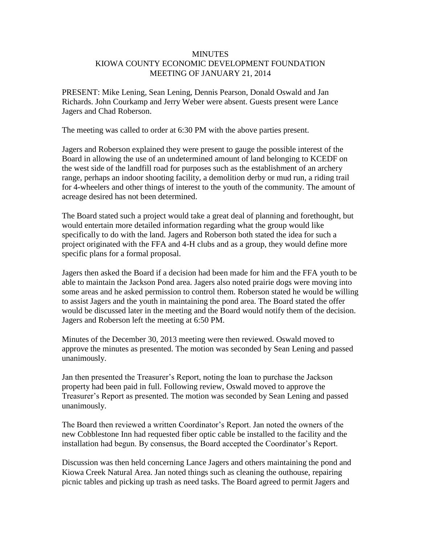## **MINUTES** KIOWA COUNTY ECONOMIC DEVELOPMENT FOUNDATION MEETING OF JANUARY 21, 2014

PRESENT: Mike Lening, Sean Lening, Dennis Pearson, Donald Oswald and Jan Richards. John Courkamp and Jerry Weber were absent. Guests present were Lance Jagers and Chad Roberson.

The meeting was called to order at 6:30 PM with the above parties present.

Jagers and Roberson explained they were present to gauge the possible interest of the Board in allowing the use of an undetermined amount of land belonging to KCEDF on the west side of the landfill road for purposes such as the establishment of an archery range, perhaps an indoor shooting facility, a demolition derby or mud run, a riding trail for 4-wheelers and other things of interest to the youth of the community. The amount of acreage desired has not been determined.

The Board stated such a project would take a great deal of planning and forethought, but would entertain more detailed information regarding what the group would like specifically to do with the land. Jagers and Roberson both stated the idea for such a project originated with the FFA and 4-H clubs and as a group, they would define more specific plans for a formal proposal.

Jagers then asked the Board if a decision had been made for him and the FFA youth to be able to maintain the Jackson Pond area. Jagers also noted prairie dogs were moving into some areas and he asked permission to control them. Roberson stated he would be willing to assist Jagers and the youth in maintaining the pond area. The Board stated the offer would be discussed later in the meeting and the Board would notify them of the decision. Jagers and Roberson left the meeting at 6:50 PM.

Minutes of the December 30, 2013 meeting were then reviewed. Oswald moved to approve the minutes as presented. The motion was seconded by Sean Lening and passed unanimously.

Jan then presented the Treasurer's Report, noting the loan to purchase the Jackson property had been paid in full. Following review, Oswald moved to approve the Treasurer's Report as presented. The motion was seconded by Sean Lening and passed unanimously.

The Board then reviewed a written Coordinator's Report. Jan noted the owners of the new Cobblestone Inn had requested fiber optic cable be installed to the facility and the installation had begun. By consensus, the Board accepted the Coordinator's Report.

Discussion was then held concerning Lance Jagers and others maintaining the pond and Kiowa Creek Natural Area. Jan noted things such as cleaning the outhouse, repairing picnic tables and picking up trash as need tasks. The Board agreed to permit Jagers and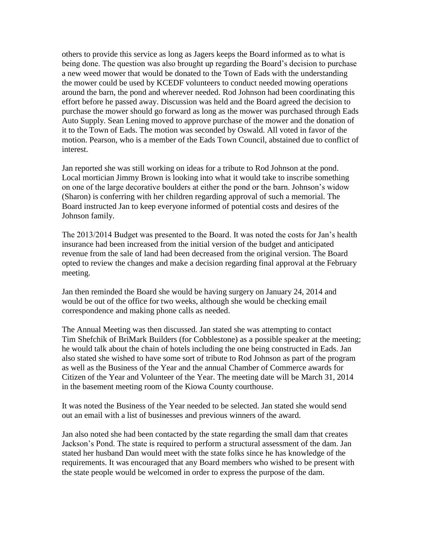others to provide this service as long as Jagers keeps the Board informed as to what is being done. The question was also brought up regarding the Board's decision to purchase a new weed mower that would be donated to the Town of Eads with the understanding the mower could be used by KCEDF volunteers to conduct needed mowing operations around the barn, the pond and wherever needed. Rod Johnson had been coordinating this effort before he passed away. Discussion was held and the Board agreed the decision to purchase the mower should go forward as long as the mower was purchased through Eads Auto Supply. Sean Lening moved to approve purchase of the mower and the donation of it to the Town of Eads. The motion was seconded by Oswald. All voted in favor of the motion. Pearson, who is a member of the Eads Town Council, abstained due to conflict of interest.

Jan reported she was still working on ideas for a tribute to Rod Johnson at the pond. Local mortician Jimmy Brown is looking into what it would take to inscribe something on one of the large decorative boulders at either the pond or the barn. Johnson's widow (Sharon) is conferring with her children regarding approval of such a memorial. The Board instructed Jan to keep everyone informed of potential costs and desires of the Johnson family.

The 2013/2014 Budget was presented to the Board. It was noted the costs for Jan's health insurance had been increased from the initial version of the budget and anticipated revenue from the sale of land had been decreased from the original version. The Board opted to review the changes and make a decision regarding final approval at the February meeting.

Jan then reminded the Board she would be having surgery on January 24, 2014 and would be out of the office for two weeks, although she would be checking email correspondence and making phone calls as needed.

The Annual Meeting was then discussed. Jan stated she was attempting to contact Tim Shefchik of BriMark Builders (for Cobblestone) as a possible speaker at the meeting; he would talk about the chain of hotels including the one being constructed in Eads. Jan also stated she wished to have some sort of tribute to Rod Johnson as part of the program as well as the Business of the Year and the annual Chamber of Commerce awards for Citizen of the Year and Volunteer of the Year. The meeting date will be March 31, 2014 in the basement meeting room of the Kiowa County courthouse.

It was noted the Business of the Year needed to be selected. Jan stated she would send out an email with a list of businesses and previous winners of the award.

Jan also noted she had been contacted by the state regarding the small dam that creates Jackson's Pond. The state is required to perform a structural assessment of the dam. Jan stated her husband Dan would meet with the state folks since he has knowledge of the requirements. It was encouraged that any Board members who wished to be present with the state people would be welcomed in order to express the purpose of the dam.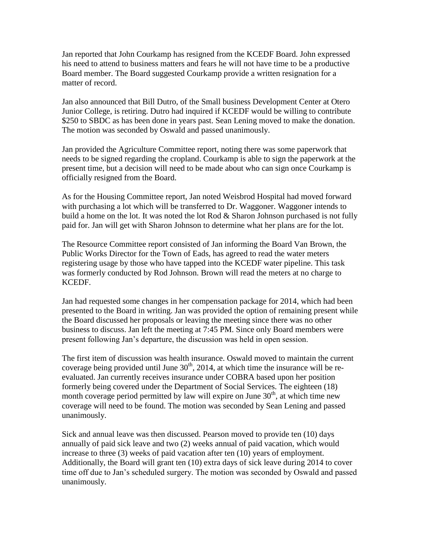Jan reported that John Courkamp has resigned from the KCEDF Board. John expressed his need to attend to business matters and fears he will not have time to be a productive Board member. The Board suggested Courkamp provide a written resignation for a matter of record.

Jan also announced that Bill Dutro, of the Small business Development Center at Otero Junior College, is retiring. Dutro had inquired if KCEDF would be willing to contribute \$250 to SBDC as has been done in years past. Sean Lening moved to make the donation. The motion was seconded by Oswald and passed unanimously.

Jan provided the Agriculture Committee report, noting there was some paperwork that needs to be signed regarding the cropland. Courkamp is able to sign the paperwork at the present time, but a decision will need to be made about who can sign once Courkamp is officially resigned from the Board.

As for the Housing Committee report, Jan noted Weisbrod Hospital had moved forward with purchasing a lot which will be transferred to Dr. Waggoner. Waggoner intends to build a home on the lot. It was noted the lot Rod & Sharon Johnson purchased is not fully paid for. Jan will get with Sharon Johnson to determine what her plans are for the lot.

The Resource Committee report consisted of Jan informing the Board Van Brown, the Public Works Director for the Town of Eads, has agreed to read the water meters registering usage by those who have tapped into the KCEDF water pipeline. This task was formerly conducted by Rod Johnson. Brown will read the meters at no charge to KCEDF.

Jan had requested some changes in her compensation package for 2014, which had been presented to the Board in writing. Jan was provided the option of remaining present while the Board discussed her proposals or leaving the meeting since there was no other business to discuss. Jan left the meeting at 7:45 PM. Since only Board members were present following Jan's departure, the discussion was held in open session.

The first item of discussion was health insurance. Oswald moved to maintain the current coverage being provided until June  $30<sup>th</sup>$ , 2014, at which time the insurance will be reevaluated. Jan currently receives insurance under COBRA based upon her position formerly being covered under the Department of Social Services. The eighteen (18) month coverage period permitted by law will expire on June  $30<sup>th</sup>$ , at which time new coverage will need to be found. The motion was seconded by Sean Lening and passed unanimously.

Sick and annual leave was then discussed. Pearson moved to provide ten (10) days annually of paid sick leave and two (2) weeks annual of paid vacation, which would increase to three (3) weeks of paid vacation after ten (10) years of employment. Additionally, the Board will grant ten (10) extra days of sick leave during 2014 to cover time off due to Jan's scheduled surgery. The motion was seconded by Oswald and passed unanimously.